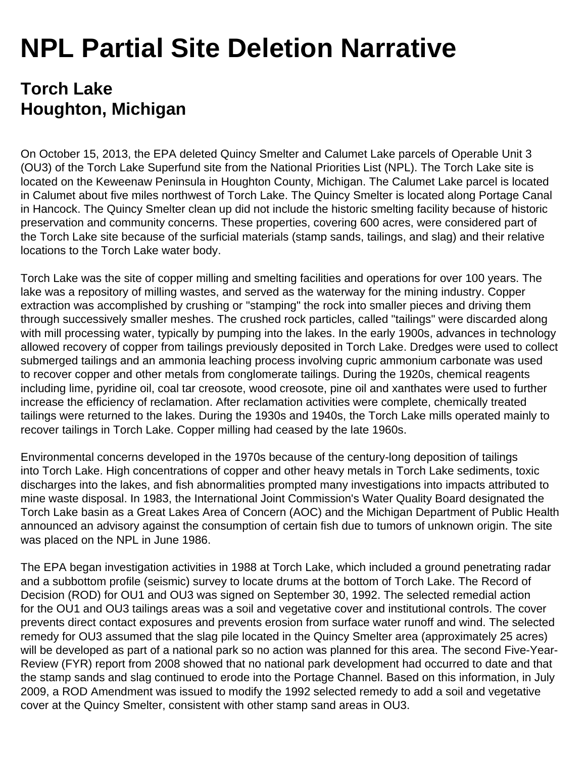## **NPL Partial Site Deletion Narrative**

## **Torch Lake Houghton, Michigan**

On October 15, 2013, the EPA deleted Quincy Smelter and Calumet Lake parcels of Operable Unit 3 (OU3) of the Torch Lake Superfund site from the National Priorities List (NPL). The Torch Lake site is located on the Keweenaw Peninsula in Houghton County, Michigan. The Calumet Lake parcel is located in Calumet about five miles northwest of Torch Lake. The Quincy Smelter is located along Portage Canal in Hancock. The Quincy Smelter clean up did not include the historic smelting facility because of historic preservation and community concerns. These properties, covering 600 acres, were considered part of the Torch Lake site because of the surficial materials (stamp sands, tailings, and slag) and their relative locations to the Torch Lake water body.

Torch Lake was the site of copper milling and smelting facilities and operations for over 100 years. The lake was a repository of milling wastes, and served as the waterway for the mining industry. Copper extraction was accomplished by crushing or "stamping" the rock into smaller pieces and driving them through successively smaller meshes. The crushed rock particles, called "tailings" were discarded along with mill processing water, typically by pumping into the lakes. In the early 1900s, advances in technology allowed recovery of copper from tailings previously deposited in Torch Lake. Dredges were used to collect submerged tailings and an ammonia leaching process involving cupric ammonium carbonate was used to recover copper and other metals from conglomerate tailings. During the 1920s, chemical reagents including lime, pyridine oil, coal tar creosote, wood creosote, pine oil and xanthates were used to further increase the efficiency of reclamation. After reclamation activities were complete, chemically treated tailings were returned to the lakes. During the 1930s and 1940s, the Torch Lake mills operated mainly to recover tailings in Torch Lake. Copper milling had ceased by the late 1960s.

Environmental concerns developed in the 1970s because of the century-long deposition of tailings into Torch Lake. High concentrations of copper and other heavy metals in Torch Lake sediments, toxic discharges into the lakes, and fish abnormalities prompted many investigations into impacts attributed to mine waste disposal. In 1983, the International Joint Commission's Water Quality Board designated the Torch Lake basin as a Great Lakes Area of Concern (AOC) and the Michigan Department of Public Health announced an advisory against the consumption of certain fish due to tumors of unknown origin. The site was placed on the NPL in June 1986.

The EPA began investigation activities in 1988 at Torch Lake, which included a ground penetrating radar and a subbottom profile (seismic) survey to locate drums at the bottom of Torch Lake. The Record of Decision (ROD) for OU1 and OU3 was signed on September 30, 1992. The selected remedial action for the OU1 and OU3 tailings areas was a soil and vegetative cover and institutional controls. The cover prevents direct contact exposures and prevents erosion from surface water runoff and wind. The selected remedy for OU3 assumed that the slag pile located in the Quincy Smelter area (approximately 25 acres) will be developed as part of a national park so no action was planned for this area. The second Five-Year-Review (FYR) report from 2008 showed that no national park development had occurred to date and that the stamp sands and slag continued to erode into the Portage Channel. Based on this information, in July 2009, a ROD Amendment was issued to modify the 1992 selected remedy to add a soil and vegetative cover at the Quincy Smelter, consistent with other stamp sand areas in OU3.